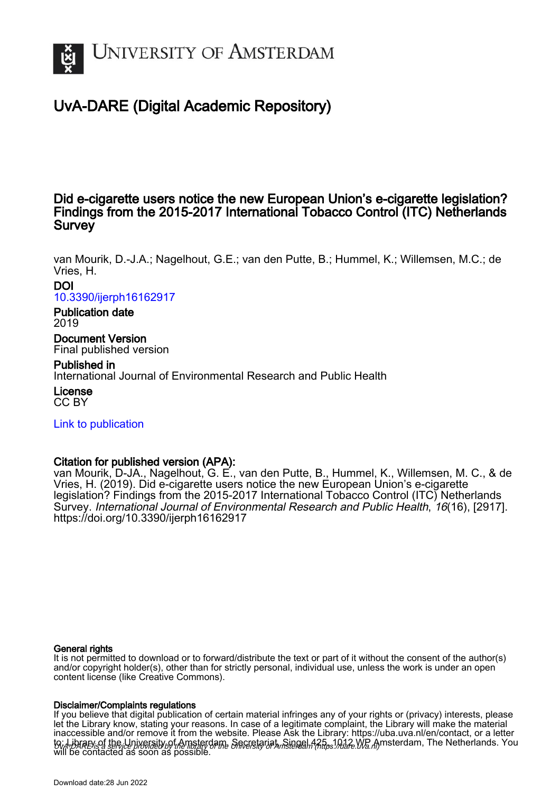

# UvA-DARE (Digital Academic Repository)

## Did e-cigarette users notice the new European Union's e-cigarette legislation? Findings from the 2015-2017 International Tobacco Control (ITC) Netherlands **Survey**

van Mourik, D.-J.A.; Nagelhout, G.E.; van den Putte, B.; Hummel, K.; Willemsen, M.C.; de Vries, H.

## DOI [10.3390/ijerph16162917](https://doi.org/10.3390/ijerph16162917)

## Publication date 2019

Document Version Final published version

Published in International Journal of Environmental Research and Public Health

License CC BY

[Link to publication](https://dare.uva.nl/personal/pure/en/publications/did-ecigarette-users-notice-the-new-european-unions-ecigarette-legislation-findings-from-the-20152017-international-tobacco-control-itc-netherlands-survey(70b2ffd9-cf5e-498b-8066-1a47747a3d14).html)

## Citation for published version (APA):

van Mourik, D-JA., Nagelhout, G. E., van den Putte, B., Hummel, K., Willemsen, M. C., & de Vries, H. (2019). Did e-cigarette users notice the new European Union's e-cigarette legislation? Findings from the 2015-2017 International Tobacco Control (ITC) Netherlands Survey. International Journal of Environmental Research and Public Health, 16(16), [2917]. <https://doi.org/10.3390/ijerph16162917>

## General rights

It is not permitted to download or to forward/distribute the text or part of it without the consent of the author(s) and/or copyright holder(s), other than for strictly personal, individual use, unless the work is under an open content license (like Creative Commons).

## Disclaimer/Complaints regulations

UvA-DARE is a service provided by the library of the University of Amsterdam (http*s*://dare.uva.nl) If you believe that digital publication of certain material infringes any of your rights or (privacy) interests, please let the Library know, stating your reasons. In case of a legitimate complaint, the Library will make the material inaccessible and/or remove it from the website. Please Ask the Library: https://uba.uva.nl/en/contact, or a letter to: Library of the Linixersity of Amsterdam, Secretariat, Singel 425, 1012 WB Amsterdam, The Netherlands. You will be contacted as soon as possible.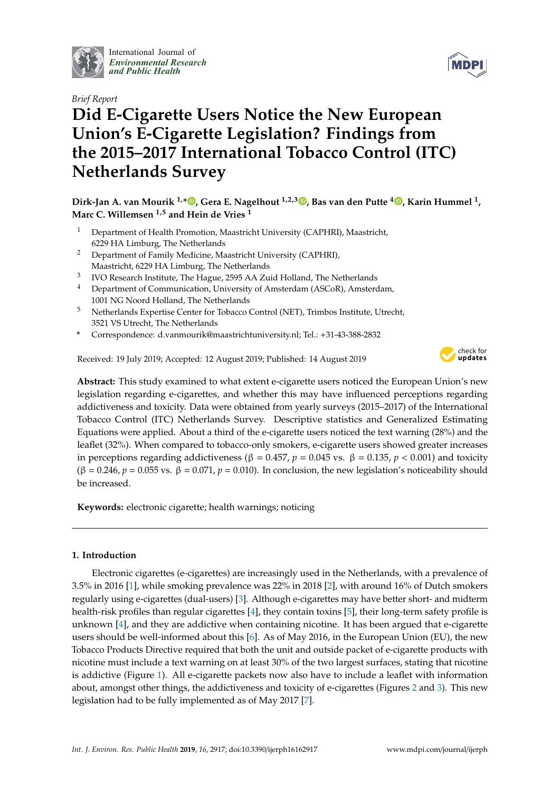

International Journal of *[Environmental Research](http://www.mdpi.com/journal/ijerph) and Public Health*



# *Brief Report* **Did E-Cigarette Users Notice the New European Union's E-Cigarette Legislation? Findings from the 2015–2017 International Tobacco Control (ITC) Netherlands Survey**

**Dirk-Jan A. van Mourik 1,[\\*](https://orcid.org/0000-0002-6403-0300) , Gera E. Nagelhout 1,2,3 [,](https://orcid.org/0000-0001-7748-5059) Bas van den Putte <sup>4</sup> [,](https://orcid.org/0000-0002-3635-6880) Karin Hummel <sup>1</sup> , Marc C. Willemsen 1,5 and Hein de Vries <sup>1</sup>**

- <sup>1</sup> Department of Health Promotion, Maastricht University (CAPHRI), Maastricht, 6229 HA Limburg, The Netherlands
- <sup>2</sup> Department of Family Medicine, Maastricht University (CAPHRI), Maastricht, 6229 HA Limburg, The Netherlands
- $^3$   $\,$  IVO Research Institute, The Hague, 2595 AA Zuid Holland, The Netherlands
- <sup>4</sup> Department of Communication, University of Amsterdam (ASCoR), Amsterdam, 1001 NG Noord Holland, The Netherlands
- <sup>5</sup> Netherlands Expertise Center for Tobacco Control (NET), Trimbos Institute, Utrecht, 3521 VS Utrecht, The Netherlands
- **\*** Correspondence: d.vanmourik@maastrichtuniversity.nl; Tel.: +31-43-388-2832

Received: 19 July 2019; Accepted: 12 August 2019; Published: 14 August 2019



**Abstract:** This study examined to what extent e-cigarette users noticed the European Union's new legislation regarding e-cigarettes, and whether this may have influenced perceptions regarding addictiveness and toxicity. Data were obtained from yearly surveys (2015–2017) of the International Tobacco Control (ITC) Netherlands Survey. Descriptive statistics and Generalized Estimating Equations were applied. About a third of the e-cigarette users noticed the text warning (28%) and the leaflet (32%). When compared to tobacco-only smokers, e-cigarette users showed greater increases in perceptions regarding addictiveness (β = 0.457,  $p = 0.045$  vs. β = 0.135,  $p < 0.001$ ) and toxicity ( $\beta$  = 0.246,  $p$  = 0.055 vs.  $\beta$  = 0.071,  $p$  = 0.010). In conclusion, the new legislation's noticeability should be increased.

**Keywords:** electronic cigarette; health warnings; noticing

## **1. Introduction**

Electronic cigarettes (e-cigarettes) are increasingly used in the Netherlands, with a prevalence of 3.5% in 2016 [\[1\]](#page-6-0), while smoking prevalence was 22% in 2018 [\[2\]](#page-6-1), with around 16% of Dutch smokers regularly using e-cigarettes (dual-users) [\[3\]](#page-6-2). Although e-cigarettes may have better short- and midterm health-risk profiles than regular cigarettes [\[4\]](#page-6-3), they contain toxins [\[5\]](#page-6-4), their long-term safety profile is unknown [\[4\]](#page-6-3), and they are addictive when containing nicotine. It has been argued that e-cigarette users should be well-informed about this [\[6\]](#page-6-5). As of May 2016, in the European Union (EU), the new Tobacco Products Directive required that both the unit and outside packet of e-cigarette products with nicotine must include a text warning on at least 30% of the two largest surfaces, stating that nicotine is addictive (Figure [1\)](#page-2-0). All e-cigarette packets now also have to include a leaflet with information about, amongst other things, the addictiveness and toxicity of e-cigarettes (Figures [2](#page-2-1) and [3\)](#page-3-0). This new legislation had to be fully implemented as of May 2017 [\[7\]](#page-6-6).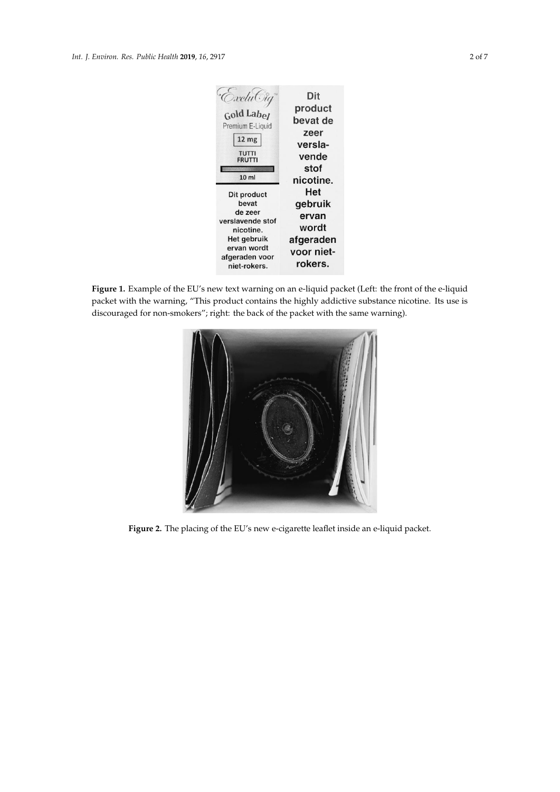<span id="page-2-0"></span>

**Figure 1.** Example of the EU's new text warning on an e-liquid packet (Left: the front of the e-liquid **Figure 1.** Example of the EU's new text warning on an e-liquid packet (Left: the front of the e-liquid packet with the warning, "This product contains the highly addictive substance nicotine. Its use is packet with the warning, "This product contains the highly addictive substance nicotine. Its use is discouraged for non-smokers"; right: the back of the packet with the same warning). **Figure 1.** Example of the EU's new text warning on an e-liquid packet (Left: the front of the e-liquid packet with the warning, "This product contains the highly addictive substance nicotine. Its use is discouraged for no

<span id="page-2-1"></span>

Figure 2. The placing of the EU's new e-cigarette leaflet inside an e-liquid packet.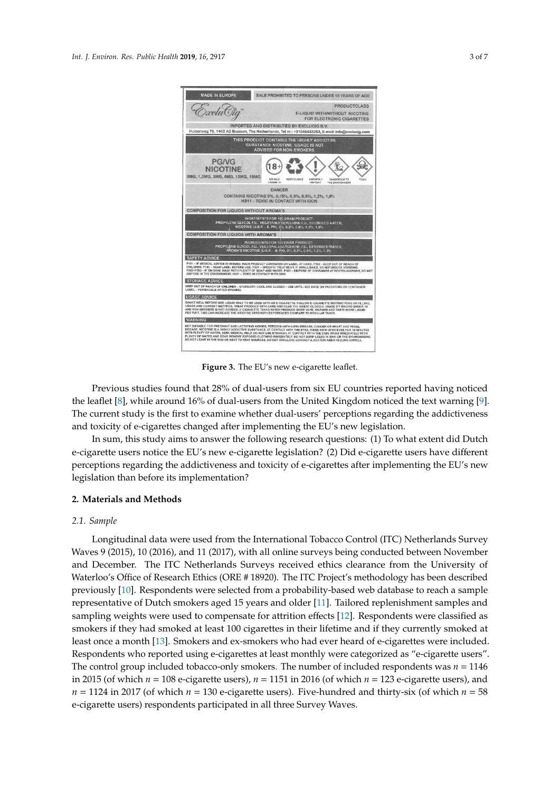<span id="page-3-0"></span>

**Figure 3.** The EU's new e-cigarette leaflet. **Figure 3.** The EU's new e-cigarette leaflet.

Previous studies found that 28% of dual-users from six EU countries reported having noticed the leaflet [\[8\]](#page-6-7), while around 16% of dual-users from the United Kingdom noticed the text warning [\[9\]](#page-6-8). The current study is the first to examine whether dual-users' perceptions regarding the addictiveness  $\frac{1}{2}$ and toxicity of e-cigarettes changed after implementing the EU's new legislation. and toxicity of e-cigarettes changed after implementing the EU's new legislation. Previous studies found that 28% of dual-users from six EU countries reported having noticed

In sum, this study aims to answer the following research questions: (1) To what extent did Dutch e-cigarette users notice the EU's new e-cigarette legislation? (2) Did e-cigarette users have different e-cigarette users notice the EU's new e-cigarette legislation? (2) Did e-cigarette users have different perceptions regarding the addictiveness and toxicity of e-cigarettes after implementing the EU's new perceptions regarding the addictiveness and toxicity of e-cigarettes after implementing the EU's new legislation than before its implementation? legislation than before its implementation? In sum, this study aims to answer the following research questions: (1) To what extent did Dutch

## **2. Materials and Methods**

#### *2.1. Sample*

*2.1. Sample* Waves 9 (2015), 10 (2016), and 11 (2017), with all online surveys being conducted between November and December. The ITC Netherlands Surveys received ethics clearance from the University of Waterloo's Office of Research Ethics (ORE # 18920). The ITC Project's methodology has been described previously [\[10\]](#page-6-9). Respondents were selected from a probability-based web database to reach a sample representative of Dutch smokers aged 15 years and older [\[11\]](#page-7-0). Tailored replenishment samples and sampling weights were used to compensate for attrition effects [\[12\]](#page-7-1). Respondents were classified as smokers if they had smoked at least 100 cigarettes in their lifetime and if they currently smoked at least once a month [\[13\]](#page-7-2). Smokers and ex-smokers who had ever heard of e-cigarettes were included. Respondents who reported using e-cigarettes at least monthly were categorized as "e-cigarette users". The control group included tobacco-only smokers. The number of included respondents was  $n = 1146$ in 2015 (of which  $n = 108$  e-cigarette users),  $n = 1151$  in 2016 (of which  $n = 123$  e-cigarette users), and  $n = 1124$  in 2017 (of which  $n = 130$  e-cigarette users). Five-hundred and thirty-six (of which  $n = 58$ e-cigarette users) respondents participated in all three Survey Waves. Longitudinal data were used from the International Tobacco Control (ITC) Netherlands Survey

thirty-six (of which *n* = 58 e-cigarette users) respondents participated in all three Survey Waves.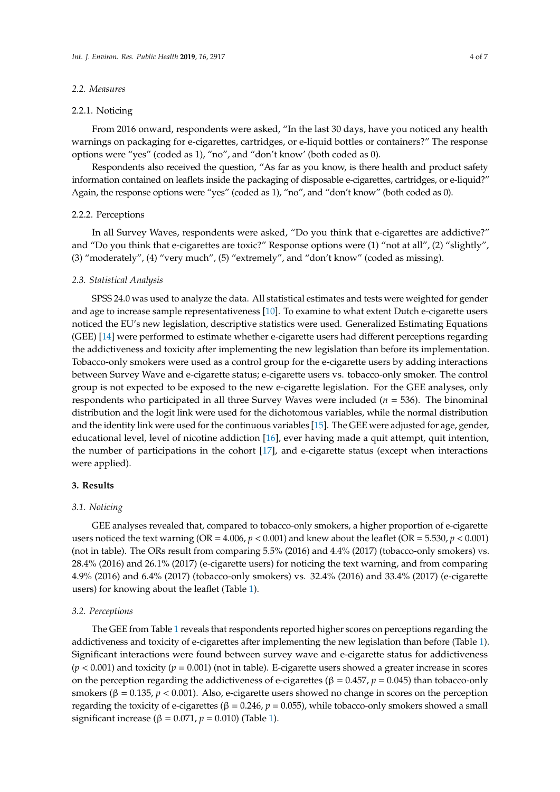#### *2.2. Measures*

#### 2.2.1. Noticing

From 2016 onward, respondents were asked, "In the last 30 days, have you noticed any health warnings on packaging for e-cigarettes, cartridges, or e-liquid bottles or containers?" The response options were "yes" (coded as 1), "no", and "don't know' (both coded as 0).

Respondents also received the question, "As far as you know, is there health and product safety information contained on leaflets inside the packaging of disposable e-cigarettes, cartridges, or e-liquid?" Again, the response options were "yes" (coded as 1), "no", and "don't know" (both coded as 0).

#### 2.2.2. Perceptions

In all Survey Waves, respondents were asked, "Do you think that e-cigarettes are addictive?" and "Do you think that e-cigarettes are toxic?" Response options were (1) "not at all", (2) "slightly", (3) "moderately", (4) "very much", (5) "extremely", and "don't know" (coded as missing).

#### *2.3. Statistical Analysis*

SPSS 24.0 was used to analyze the data. All statistical estimates and tests were weighted for gender and age to increase sample representativeness [\[10\]](#page-6-9). To examine to what extent Dutch e-cigarette users noticed the EU's new legislation, descriptive statistics were used. Generalized Estimating Equations (GEE) [\[14\]](#page-7-3) were performed to estimate whether e-cigarette users had different perceptions regarding the addictiveness and toxicity after implementing the new legislation than before its implementation. Tobacco-only smokers were used as a control group for the e-cigarette users by adding interactions between Survey Wave and e-cigarette status; e-cigarette users vs. tobacco-only smoker. The control group is not expected to be exposed to the new e-cigarette legislation. For the GEE analyses, only respondents who participated in all three Survey Waves were included (*n* = 536). The binominal distribution and the logit link were used for the dichotomous variables, while the normal distribution and the identity link were used for the continuous variables [\[15\]](#page-7-4). The GEE were adjusted for age, gender, educational level, level of nicotine addiction [\[16\]](#page-7-5), ever having made a quit attempt, quit intention, the number of participations in the cohort [\[17\]](#page-7-6), and e-cigarette status (except when interactions were applied).

### **3. Results**

#### *3.1. Noticing*

GEE analyses revealed that, compared to tobacco-only smokers, a higher proportion of e-cigarette users noticed the text warning ( $OR = 4.006$ ,  $p < 0.001$ ) and knew about the leaflet ( $OR = 5.530$ ,  $p < 0.001$ ) (not in table). The ORs result from comparing 5.5% (2016) and 4.4% (2017) (tobacco-only smokers) vs. 28.4% (2016) and 26.1% (2017) (e-cigarette users) for noticing the text warning, and from comparing 4.9% (2016) and 6.4% (2017) (tobacco-only smokers) vs. 32.4% (2016) and 33.4% (2017) (e-cigarette users) for knowing about the leaflet (Table [1\)](#page-5-0).

#### *3.2. Perceptions*

The GEE from Table [1](#page-5-0) reveals that respondents reported higher scores on perceptions regarding the addictiveness and toxicity of e-cigarettes after implementing the new legislation than before (Table [1\)](#page-5-0). Significant interactions were found between survey wave and e-cigarette status for addictiveness (*p* < 0.001) and toxicity (*p* = 0.001) (not in table). E-cigarette users showed a greater increase in scores on the perception regarding the addictiveness of e-cigarettes ( $β = 0.457$ ,  $p = 0.045$ ) than tobacco-only smokers ( $β = 0.135$ ,  $p < 0.001$ ). Also, e-cigarette users showed no change in scores on the perception regarding the toxicity of e-cigarettes ( $β = 0.246$ ,  $p = 0.055$ ), while tobacco-only smokers showed a small significant increase ( $\beta = 0.071$ ,  $p = 0.010$ ) (Table [1\)](#page-5-0).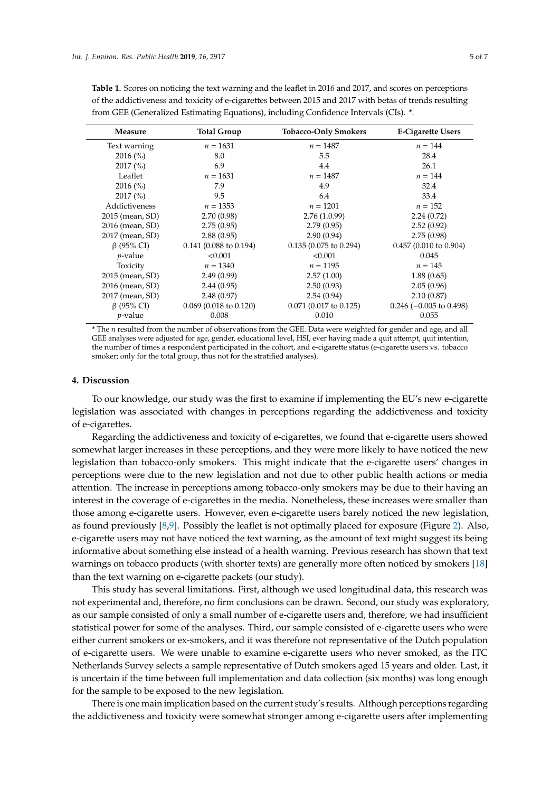| Measure          | <b>Total Group</b>               | <b>Tobacco-Only Smokers</b>      | <b>E-Cigarette Users</b>         |
|------------------|----------------------------------|----------------------------------|----------------------------------|
| Text warning     | $n = 1631$                       | $n = 1487$                       | $n = 144$                        |
| $2016\,(%)$      | 8.0                              | 5.5                              | 28.4                             |
| $2017\,(%)$      | 6.9                              | 4.4                              | 26.1                             |
| Leaflet          | $n = 1631$                       | $n = 1487$                       | $n = 144$                        |
| $2016\,(%)$      | 7.9                              | 4.9                              | 32.4                             |
| $2017\,(%)$      | 9.5                              | 6.4                              | 33.4                             |
| Addictiveness    | $n = 1353$                       | $n = 1201$                       | $n = 152$                        |
| 2015 (mean, SD)  | 2.70(0.98)                       | 2.76(1.0.99)                     | 2.24(0.72)                       |
| 2016 (mean, SD)  | 2.75(0.95)                       | 2.79(0.95)                       | 2.52(0.92)                       |
| 2017 (mean, SD)  | 2.88(0.95)                       | 2.90(0.94)                       | 2.75(0.98)                       |
| $\beta$ (95% CI) | $0.141(0.088 \text{ to } 0.194)$ | $0.135(0.075 \text{ to } 0.294)$ | $0.457(0.010 \text{ to } 0.904)$ |
| $p$ -value       | < 0.001                          | < 0.001                          | 0.045                            |
| Toxicity         | $n = 1340$                       | $n = 1195$                       | $n = 145$                        |
| 2015 (mean, SD)  | 2.49(0.99)                       | 2.57(1.00)                       | 1.88(0.65)                       |
| 2016 (mean, SD)  | 2.44(0.95)                       | 2.50(0.93)                       | 2.05(0.96)                       |
| 2017 (mean, SD)  | 2.48(0.97)                       | 2.54(0.94)                       | 2.10(0.87)                       |
| $\beta$ (95% CI) | $0.069$ (0.018 to 0.120)         | 0.071 (0.017 to 0.125)           | $0.246$ (-0.005 to 0.498)        |
| $p$ -value       | 0.008                            | 0.010                            | 0.055                            |

<span id="page-5-0"></span>**Table 1.** Scores on noticing the text warning and the leaflet in 2016 and 2017, and scores on perceptions of the addictiveness and toxicity of e-cigarettes between 2015 and 2017 with betas of trends resulting from GEE (Generalized Estimating Equations), including Confidence Intervals (CIs). \*.

\* The *n* resulted from the number of observations from the GEE. Data were weighted for gender and age, and all GEE analyses were adjusted for age, gender, educational level, HSI, ever having made a quit attempt, quit intention, the number of times a respondent participated in the cohort, and e-cigarette status (e-cigarette users vs. tobacco smoker; only for the total group, thus not for the stratified analyses).

#### **4. Discussion**

To our knowledge, our study was the first to examine if implementing the EU's new e-cigarette legislation was associated with changes in perceptions regarding the addictiveness and toxicity of e-cigarettes.

Regarding the addictiveness and toxicity of e-cigarettes, we found that e-cigarette users showed somewhat larger increases in these perceptions, and they were more likely to have noticed the new legislation than tobacco-only smokers. This might indicate that the e-cigarette users' changes in perceptions were due to the new legislation and not due to other public health actions or media attention. The increase in perceptions among tobacco-only smokers may be due to their having an interest in the coverage of e-cigarettes in the media. Nonetheless, these increases were smaller than those among e-cigarette users. However, even e-cigarette users barely noticed the new legislation, as found previously [\[8](#page-6-7)[,9\]](#page-6-8). Possibly the leaflet is not optimally placed for exposure (Figure [2\)](#page-2-1). Also, e-cigarette users may not have noticed the text warning, as the amount of text might suggest its being informative about something else instead of a health warning. Previous research has shown that text warnings on tobacco products (with shorter texts) are generally more often noticed by smokers [\[18\]](#page-7-7) than the text warning on e-cigarette packets (our study).

This study has several limitations. First, although we used longitudinal data, this research was not experimental and, therefore, no firm conclusions can be drawn. Second, our study was exploratory, as our sample consisted of only a small number of e-cigarette users and, therefore, we had insufficient statistical power for some of the analyses. Third, our sample consisted of e-cigarette users who were either current smokers or ex-smokers, and it was therefore not representative of the Dutch population of e-cigarette users. We were unable to examine e-cigarette users who never smoked, as the ITC Netherlands Survey selects a sample representative of Dutch smokers aged 15 years and older. Last, it is uncertain if the time between full implementation and data collection (six months) was long enough for the sample to be exposed to the new legislation.

There is one main implication based on the current study's results. Although perceptions regarding the addictiveness and toxicity were somewhat stronger among e-cigarette users after implementing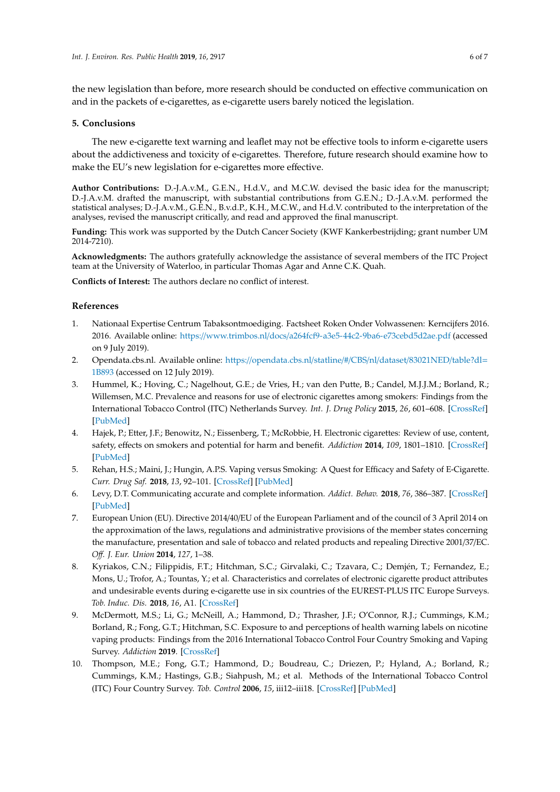the new legislation than before, more research should be conducted on effective communication on and in the packets of e-cigarettes, as e-cigarette users barely noticed the legislation.

### **5. Conclusions**

The new e-cigarette text warning and leaflet may not be effective tools to inform e-cigarette users about the addictiveness and toxicity of e-cigarettes. Therefore, future research should examine how to make the EU's new legislation for e-cigarettes more effective.

**Author Contributions:** D.-J.A.v.M., G.E.N., H.d.V., and M.C.W. devised the basic idea for the manuscript; D.-J.A.v.M. drafted the manuscript, with substantial contributions from G.E.N.; D.-J.A.v.M. performed the statistical analyses; D.-J.A.v.M., G.E.N., B.v.d.P., K.H., M.C.W., and H.d.V. contributed to the interpretation of the analyses, revised the manuscript critically, and read and approved the final manuscript.

**Funding:** This work was supported by the Dutch Cancer Society (KWF Kankerbestrijding; grant number UM 2014-7210).

**Acknowledgments:** The authors gratefully acknowledge the assistance of several members of the ITC Project team at the University of Waterloo, in particular Thomas Agar and Anne C.K. Quah.

**Conflicts of Interest:** The authors declare no conflict of interest.

### **References**

- <span id="page-6-0"></span>1. Nationaal Expertise Centrum Tabaksontmoediging. Factsheet Roken Onder Volwassenen: Kerncijfers 2016. 2016. Available online: https://www.trimbos.nl/docs/[a264fcf9-a3e5-44c2-9ba6-e73cebd5d2ae.pdf](https://www.trimbos.nl/docs/a264fcf9-a3e5-44c2-9ba6-e73cebd5d2ae.pdf) (accessed on 9 July 2019).
- <span id="page-6-1"></span>2. Opendata.cbs.nl. Available online: https://[opendata.cbs.nl](https://opendata.cbs.nl/statline/#/CBS/nl/dataset/83021NED/table?dl=1B893)/statline/#/CBS/nl/dataset/83021NED/table?dl= [1B893](https://opendata.cbs.nl/statline/#/CBS/nl/dataset/83021NED/table?dl=1B893) (accessed on 12 July 2019).
- <span id="page-6-2"></span>3. Hummel, K.; Hoving, C.; Nagelhout, G.E.; de Vries, H.; van den Putte, B.; Candel, M.J.J.M.; Borland, R.; Willemsen, M.C. Prevalence and reasons for use of electronic cigarettes among smokers: Findings from the International Tobacco Control (ITC) Netherlands Survey. *Int. J. Drug Policy* **2015**, *26*, 601–608. [\[CrossRef\]](http://dx.doi.org/10.1016/j.drugpo.2014.12.009) [\[PubMed\]](http://www.ncbi.nlm.nih.gov/pubmed/25582280)
- <span id="page-6-3"></span>4. Hajek, P.; Etter, J.F.; Benowitz, N.; Eissenberg, T.; McRobbie, H. Electronic cigarettes: Review of use, content, safety, effects on smokers and potential for harm and benefit. *Addiction* **2014**, *109*, 1801–1810. [\[CrossRef\]](http://dx.doi.org/10.1111/add.12659) [\[PubMed\]](http://www.ncbi.nlm.nih.gov/pubmed/25078252)
- <span id="page-6-4"></span>5. Rehan, H.S.; Maini, J.; Hungin, A.P.S. Vaping versus Smoking: A Quest for Efficacy and Safety of E-Cigarette. *Curr. Drug Saf.* **2018**, *13*, 92–101. [\[CrossRef\]](http://dx.doi.org/10.2174/1574886313666180227110556) [\[PubMed\]](http://www.ncbi.nlm.nih.gov/pubmed/29485005)
- <span id="page-6-5"></span>6. Levy, D.T. Communicating accurate and complete information. *Addict. Behav.* **2018**, *76*, 386–387. [\[CrossRef\]](http://dx.doi.org/10.1016/j.addbeh.2017.01.031) [\[PubMed\]](http://www.ncbi.nlm.nih.gov/pubmed/28161153)
- <span id="page-6-6"></span>7. European Union (EU). Directive 2014/40/EU of the European Parliament and of the council of 3 April 2014 on the approximation of the laws, regulations and administrative provisions of the member states concerning the manufacture, presentation and sale of tobacco and related products and repealing Directive 2001/37/EC. *O*ff*. J. Eur. Union* **2014**, *127*, 1–38.
- <span id="page-6-7"></span>8. Kyriakos, C.N.; Filippidis, F.T.; Hitchman, S.C.; Girvalaki, C.; Tzavara, C.; Demjén, T.; Fernandez, E.; Mons, U.; Trofor, A.; Tountas, Y.; et al. Characteristics and correlates of electronic cigarette product attributes and undesirable events during e-cigarette use in six countries of the EUREST-PLUS ITC Europe Surveys. *Tob. Induc. Dis.* **2018**, *16*, A1. [\[CrossRef\]](http://dx.doi.org/10.18332/tid/93545)
- <span id="page-6-8"></span>9. McDermott, M.S.; Li, G.; McNeill, A.; Hammond, D.; Thrasher, J.F.; O'Connor, R.J.; Cummings, K.M.; Borland, R.; Fong, G.T.; Hitchman, S.C. Exposure to and perceptions of health warning labels on nicotine vaping products: Findings from the 2016 International Tobacco Control Four Country Smoking and Vaping Survey. *Addiction* **2019**. [\[CrossRef\]](http://dx.doi.org/10.1111/add.14550)
- <span id="page-6-9"></span>10. Thompson, M.E.; Fong, G.T.; Hammond, D.; Boudreau, C.; Driezen, P.; Hyland, A.; Borland, R.; Cummings, K.M.; Hastings, G.B.; Siahpush, M.; et al. Methods of the International Tobacco Control (ITC) Four Country Survey. *Tob. Control* **2006**, *15*, iii12–iii18. [\[CrossRef\]](http://dx.doi.org/10.1136/tc.2005.013870) [\[PubMed\]](http://www.ncbi.nlm.nih.gov/pubmed/16754941)